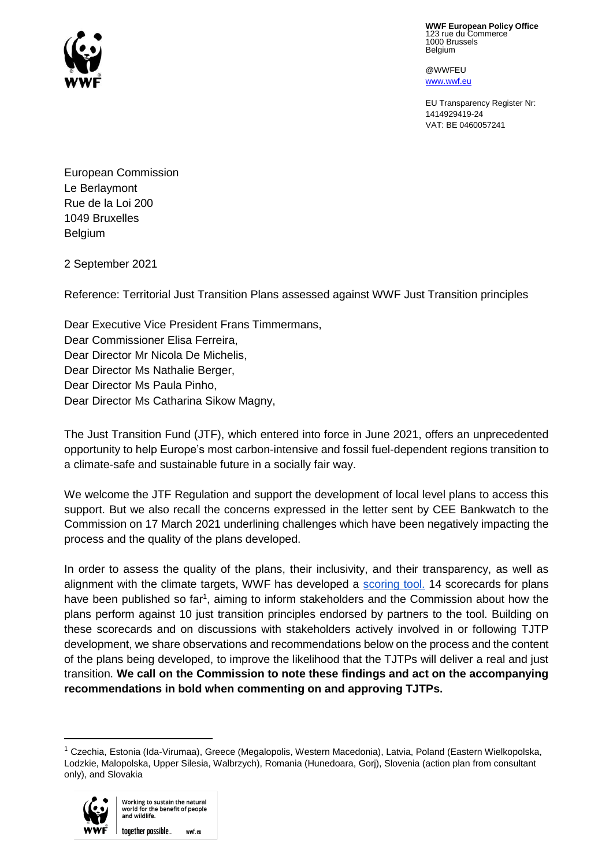

**WWF European Policy Office** 123 rue du Commerce 1000 Brussels **Belgium** 

@WWFEU www.wwf.eu

EU Transparency Register Nr: 1414929419-24 VAT: BE 0460057241

European Commission Le Berlaymont Rue de la Loi 200 1049 Bruxelles Belgium

2 September 2021

Reference: Territorial Just Transition Plans assessed against WWF Just Transition principles

Dear Executive Vice President Frans Timmermans, Dear Commissioner Elisa Ferreira, Dear Director Mr Nicola De Michelis, Dear Director Ms Nathalie Berger, Dear Director Ms Paula Pinho, Dear Director Ms Catharina Sikow Magny,

The Just Transition Fund (JTF), which entered into force in June 2021, offers an unprecedented opportunity to help Europe's most carbon-intensive and fossil fuel-dependent regions transition to a climate-safe and sustainable future in a socially fair way.

We welcome the JTF Regulation and support the development of local level plans to access this support. But we also recall the concerns expressed in the letter sent by CEE Bankwatch to the Commission on 17 March 2021 underlining challenges which have been negatively impacting the process and the quality of the plans developed.

In order to assess the quality of the plans, their inclusivity, and their transparency, as well as alignment with the climate targets, WWF has developed a [scoring tool.](https://just-transitions-plan.wwf.eu/en) 14 scorecards for plans have been published so far<sup>1</sup>, aiming to inform stakeholders and the Commission about how the plans perform against 10 just transition principles endorsed by partners to the tool. Building on these scorecards and on discussions with stakeholders actively involved in or following TJTP development, we share observations and recommendations below on the process and the content of the plans being developed, to improve the likelihood that the TJTPs will deliver a real and just transition. **We call on the Commission to note these findings and act on the accompanying recommendations in bold when commenting on and approving TJTPs.**

<sup>1</sup> Czechia, Estonia (Ida-Virumaa), Greece (Megalopolis, Western Macedonia), Latvia, Poland (Eastern Wielkopolska, Lodzkie, Malopolska, Upper Silesia, Walbrzych), Romania (Hunedoara, Gorj), Slovenia (action plan from consultant only), and Slovakia



 $\overline{\phantom{a}}$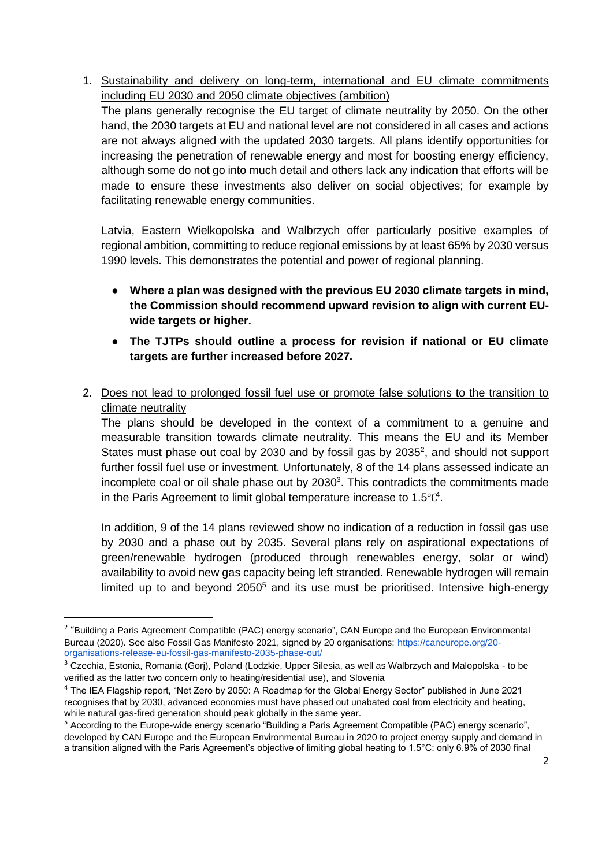1. Sustainability and delivery on long-term, international and EU climate commitments including EU 2030 and 2050 climate objectives (ambition)

The plans generally recognise the EU target of climate neutrality by 2050. On the other hand, the 2030 targets at EU and national level are not considered in all cases and actions are not always aligned with the updated 2030 targets. All plans identify opportunities for increasing the penetration of renewable energy and most for boosting energy efficiency, although some do not go into much detail and others lack any indication that efforts will be made to ensure these investments also deliver on social objectives; for example by facilitating renewable energy communities.

Latvia, Eastern Wielkopolska and Walbrzych offer particularly positive examples of regional ambition, committing to reduce regional emissions by at least 65% by 2030 versus 1990 levels. This demonstrates the potential and power of regional planning.

- **Where a plan was designed with the previous EU 2030 climate targets in mind, the Commission should recommend upward revision to align with current EUwide targets or higher.**
- **The TJTPs should outline a process for revision if national or EU climate targets are further increased before 2027.**
- 2. Does not lead to prolonged fossil fuel use or promote false solutions to the transition to climate neutrality

The plans should be developed in the context of a commitment to a genuine and measurable transition towards climate neutrality. This means the EU and its Member States must phase out coal by 2030 and by fossil gas by  $2035^2$ , and should not support further fossil fuel use or investment. Unfortunately, 8 of the 14 plans assessed indicate an incomplete coal or oil shale phase out by  $2030<sup>3</sup>$ . This contradicts the commitments made in the Paris Agreement to limit global temperature increase to 1.5 $°C<sup>4</sup>$ .

In addition, 9 of the 14 plans reviewed show no indication of a reduction in fossil gas use by 2030 and a phase out by 2035. Several plans rely on aspirational expectations of green/renewable hydrogen (produced through renewables energy, solar or wind) availability to avoid new gas capacity being left stranded. Renewable hydrogen will remain limited up to and beyond  $2050<sup>5</sup>$  and its use must be prioritised. Intensive high-energy

 $\overline{\phantom{a}}$ 

<sup>&</sup>lt;sup>2</sup> "Building a Paris Agreement Compatible (PAC) energy scenario", CAN Europe and the European Environmental Bureau (2020). See also Fossil Gas Manifesto 2021, signed by 20 organisations: [https://caneurope.org/20](https://caneurope.org/20-organisations-release-eu-fossil-gas-manifesto-2035-phase-out/) [organisations-release-eu-fossil-gas-manifesto-2035-phase-out/](https://caneurope.org/20-organisations-release-eu-fossil-gas-manifesto-2035-phase-out/)

<sup>&</sup>lt;sup>3</sup> Czechia, Estonia, Romania (Gorj), Poland (Lodzkie, Upper Silesia, as well as Walbrzych and Malopolska - to be verified as the latter two concern only to heating/residential use), and Slovenia

<sup>4</sup> The IEA Flagship report, "Net Zero by 2050: A Roadmap for the Global Energy Sector" published in June 2021 recognises that by 2030, advanced economies must have phased out unabated coal from electricity and heating, while natural gas-fired generation should peak globally in the same year.

<sup>5</sup> According to the Europe-wide energy scenario "Building a Paris Agreement Compatible (PAC) energy scenario", developed by CAN Europe and the European Environmental Bureau in 2020 to project energy supply and demand in a transition aligned with the Paris Agreement's objective of limiting global heating to 1.5°C: only 6.9% of 2030 final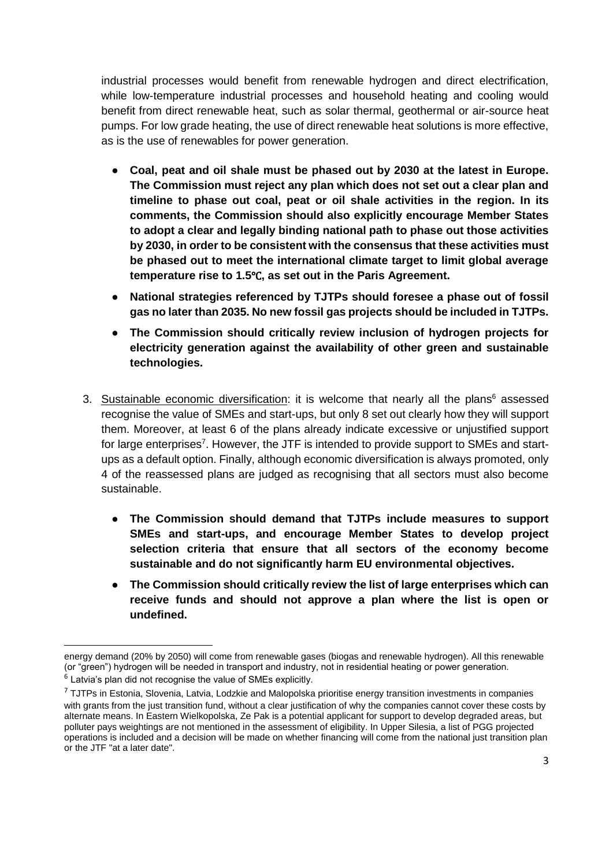industrial processes would benefit from renewable hydrogen and direct electrification, while low-temperature industrial processes and household heating and cooling would benefit from direct renewable heat, such as solar thermal, geothermal or air-source heat pumps. For low grade heating, the use of direct renewable heat solutions is more effective, as is the use of renewables for power generation.

- **Coal, peat and oil shale must be phased out by 2030 at the latest in Europe. The Commission must reject any plan which does not set out a clear plan and timeline to phase out coal, peat or oil shale activities in the region. In its comments, the Commission should also explicitly encourage Member States to adopt a clear and legally binding national path to phase out those activities by 2030, in order to be consistent with the consensus that these activities must be phased out to meet the international climate target to limit global average temperature rise to 1.5**℃**, as set out in the Paris Agreement.**
- **National strategies referenced by TJTPs should foresee a phase out of fossil gas no later than 2035. No new fossil gas projects should be included in TJTPs.**
- **The Commission should critically review inclusion of hydrogen projects for electricity generation against the availability of other green and sustainable technologies.**
- 3. Sustainable economic diversification: it is welcome that nearly all the plans<sup>6</sup> assessed recognise the value of SMEs and start-ups, but only 8 set out clearly how they will support them. Moreover, at least 6 of the plans already indicate excessive or unjustified support for large enterprises<sup>7</sup>. However, the JTF is intended to provide support to SMEs and startups as a default option. Finally, although economic diversification is always promoted, only 4 of the reassessed plans are judged as recognising that all sectors must also become sustainable.
	- **The Commission should demand that TJTPs include measures to support SMEs and start-ups, and encourage Member States to develop project selection criteria that ensure that all sectors of the economy become sustainable and do not significantly harm EU environmental objectives.**
	- **The Commission should critically review the list of large enterprises which can receive funds and should not approve a plan where the list is open or undefined.**

 $\overline{\phantom{a}}$ energy demand (20% by 2050) will come from renewable gases (biogas and renewable hydrogen). All this renewable (or "green") hydrogen will be needed in transport and industry, not in residential heating or power generation.

 $^6$  Latvia's plan did not recognise the value of SMEs explicitly.

 $7$  TJTPs in Estonia, Slovenia, Latvia, Lodzkie and Malopolska prioritise energy transition investments in companies with grants from the just transition fund, without a clear justification of why the companies cannot cover these costs by alternate means. In Eastern Wielkopolska, Ze Pak is a potential applicant for support to develop degraded areas, but polluter pays weightings are not mentioned in the assessment of eligibility. In Upper Silesia, a list of PGG projected operations is included and a decision will be made on whether financing will come from the national just transition plan or the JTF "at a later date".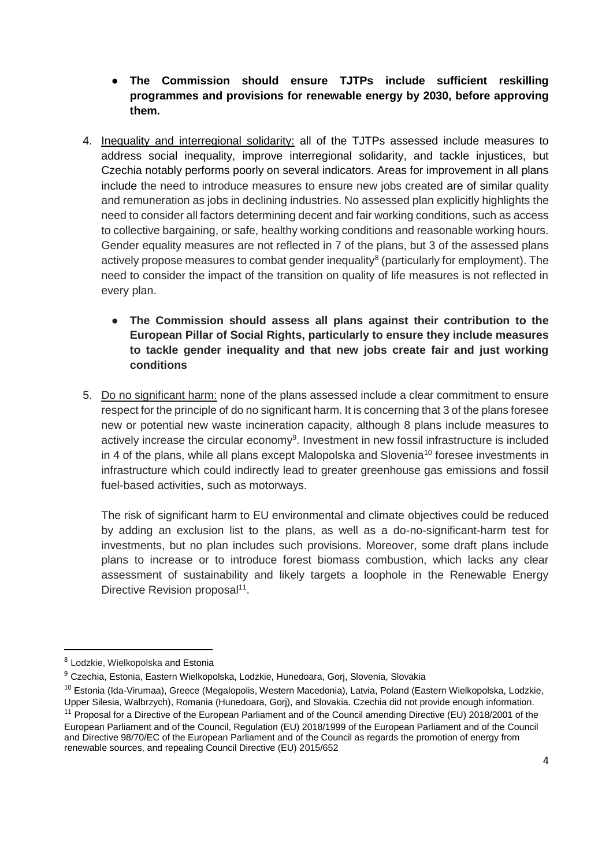- **The Commission should ensure TJTPs include sufficient reskilling programmes and provisions for renewable energy by 2030, before approving them.**
- 4. Inequality and interregional solidarity: all of the TJTPs assessed include measures to address social inequality, improve interregional solidarity, and tackle injustices, but Czechia notably performs poorly on several indicators. Areas for improvement in all plans include the need to introduce measures to ensure new jobs created are of similar quality and remuneration as jobs in declining industries. No assessed plan explicitly highlights the need to consider all factors determining decent and fair working conditions, such as access to collective bargaining, or safe, healthy working conditions and reasonable working hours. Gender equality measures are not reflected in 7 of the plans, but 3 of the assessed plans actively propose measures to combat gender inequality<sup>8</sup> (particularly for employment). The need to consider the impact of the transition on quality of life measures is not reflected in every plan.
	- **The Commission should assess all plans against their contribution to the European Pillar of Social Rights, particularly to ensure they include measures to tackle gender inequality and that new jobs create fair and just working conditions**
- 5. Do no significant harm: none of the plans assessed include a clear commitment to ensure respect for the principle of do no significant harm. It is concerning that 3 of the plans foresee new or potential new waste incineration capacity, although 8 plans include measures to actively increase the circular economy<sup>9</sup>. Investment in new fossil infrastructure is included in 4 of the plans, while all plans except Malopolska and Slovenia<sup>10</sup> foresee investments in infrastructure which could indirectly lead to greater greenhouse gas emissions and fossil fuel-based activities, such as motorways.

The risk of significant harm to EU environmental and climate objectives could be reduced by adding an exclusion list to the plans, as well as a do-no-significant-harm test for investments, but no plan includes such provisions. Moreover, some draft plans include plans to increase or to introduce forest biomass combustion, which lacks any clear assessment of sustainability and likely targets a loophole in the Renewable Energy Directive Revision proposal<sup>11</sup>.

 $\overline{\phantom{a}}$ 

<sup>&</sup>lt;sup>8</sup> Lodzkie, Wielkopolska and Estonia

<sup>&</sup>lt;sup>9</sup> Czechia, Estonia, Eastern Wielkopolska, Lodzkie, Hunedoara, Gorj, Slovenia, Slovakia

<sup>&</sup>lt;sup>10</sup> Estonia (Ida-Virumaa), Greece (Megalopolis, Western Macedonia), Latvia, Poland (Eastern Wielkopolska, Lodzkie, Upper Silesia, Walbrzych), Romania (Hunedoara, Gorj), and Slovakia. Czechia did not provide enough information.  $11$  Proposal for a Directive of the European Parliament and of the Council amending Directive (EU) 2018/2001 of the

European Parliament and of the Council, Regulation (EU) 2018/1999 of the European Parliament and of the Council and Directive 98/70/EC of the European Parliament and of the Council as regards the promotion of energy from renewable sources, and repealing Council Directive (EU) 2015/652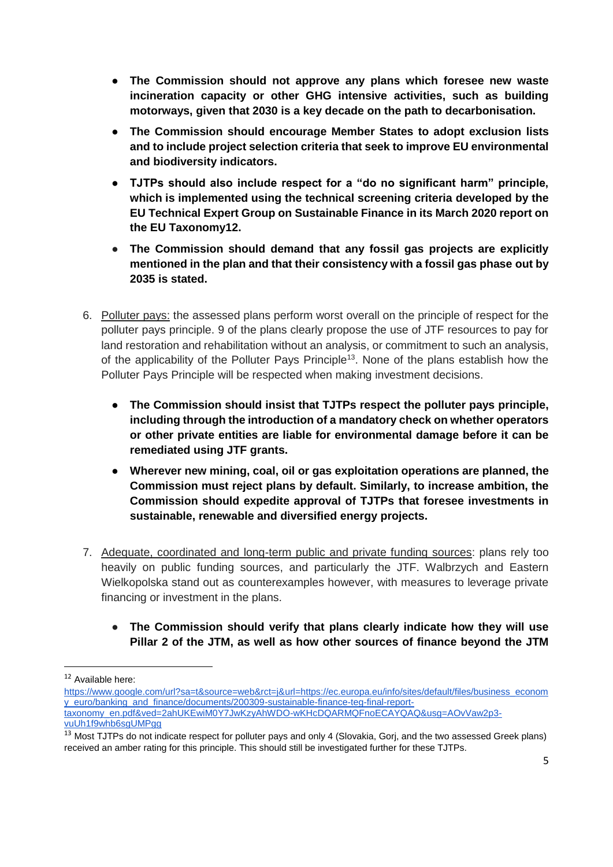- **The Commission should not approve any plans which foresee new waste incineration capacity or other GHG intensive activities, such as building motorways, given that 2030 is a key decade on the path to decarbonisation.**
- **The Commission should encourage Member States to adopt exclusion lists and to include project selection criteria that seek to improve EU environmental and biodiversity indicators.**
- **TJTPs should also include respect for a "do no significant harm" principle, which is implemented using the technical screening criteria developed by the EU Technical Expert Group on Sustainable Finance in its March 2020 report on the EU Taxonomy12.**
- **The Commission should demand that any fossil gas projects are explicitly mentioned in the plan and that their consistency with a fossil gas phase out by 2035 is stated.**
- 6. Polluter pays: the assessed plans perform worst overall on the principle of respect for the polluter pays principle. 9 of the plans clearly propose the use of JTF resources to pay for land restoration and rehabilitation without an analysis, or commitment to such an analysis, of the applicability of the Polluter Pays Principle<sup>13</sup>. None of the plans establish how the Polluter Pays Principle will be respected when making investment decisions.
	- **The Commission should insist that TJTPs respect the polluter pays principle, including through the introduction of a mandatory check on whether operators or other private entities are liable for environmental damage before it can be remediated using JTF grants.**
	- **Wherever new mining, coal, oil or gas exploitation operations are planned, the Commission must reject plans by default. Similarly, to increase ambition, the Commission should expedite approval of TJTPs that foresee investments in sustainable, renewable and diversified energy projects.**
- 7. Adequate, coordinated and long-term public and private funding sources: plans rely too heavily on public funding sources, and particularly the JTF. Walbrzych and Eastern Wielkopolska stand out as counterexamples however, with measures to leverage private financing or investment in the plans.
	- **The Commission should verify that plans clearly indicate how they will use Pillar 2 of the JTM, as well as how other sources of finance beyond the JTM**

 $\overline{a}$ 

<sup>12</sup> Available here:

[https://www.google.com/url?sa=t&source=web&rct=j&url=https://ec.europa.eu/info/sites/default/files/business\\_econom](https://ec.europa.eu/info/sites/default/files/business_economy_euro/banking_and_finance/documents/200309-sustainable-finance-teg-final-report-taxonomy_en.pdf) [y\\_euro/banking\\_and\\_finance/documents/200309-sustainable-finance-teg-final-report](https://ec.europa.eu/info/sites/default/files/business_economy_euro/banking_and_finance/documents/200309-sustainable-finance-teg-final-report-taxonomy_en.pdf)[taxonomy\\_en.pdf&ved=2ahUKEwiM0Y7JwKzyAhWDO-wKHcDQARMQFnoECAYQAQ&usg=AOvVaw2p3](https://ec.europa.eu/info/sites/default/files/business_economy_euro/banking_and_finance/documents/200309-sustainable-finance-teg-final-report-taxonomy_en.pdf) [vuUh1f9whb6sgUMPgg](https://ec.europa.eu/info/sites/default/files/business_economy_euro/banking_and_finance/documents/200309-sustainable-finance-teg-final-report-taxonomy_en.pdf)

<sup>&</sup>lt;sup>13</sup> Most TJTPs do not indicate respect for polluter pays and only 4 (Slovakia, Gorj, and the two assessed Greek plans) received an amber rating for this principle. This should still be investigated further for these TJTPs.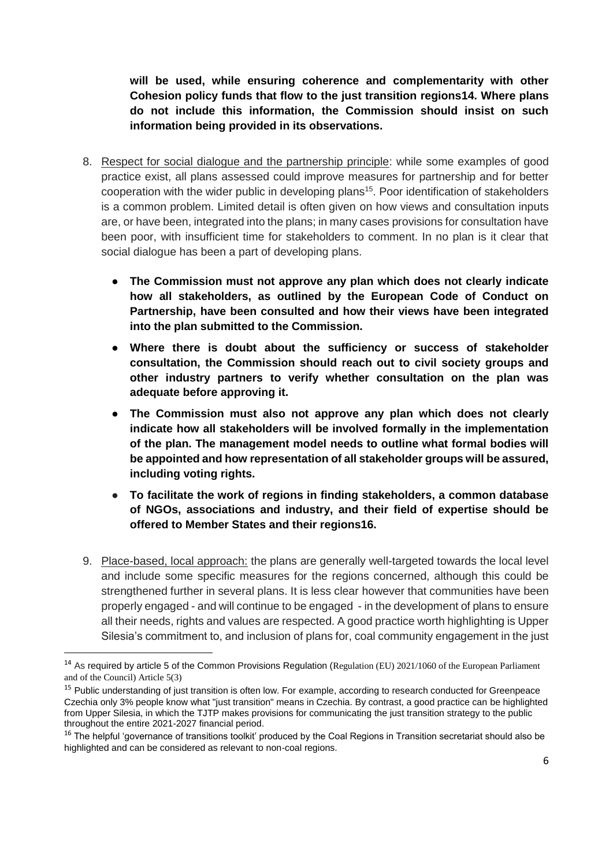**will be used, while ensuring coherence and complementarity with other Cohesion policy funds that flow to the just transition regions14. Where plans do not include this information, the Commission should insist on such information being provided in its observations.**

- 8. Respect for social dialogue and the partnership principle: while some examples of good practice exist, all plans assessed could improve measures for partnership and for better cooperation with the wider public in developing plans<sup>15</sup>. Poor identification of stakeholders is a common problem. Limited detail is often given on how views and consultation inputs are, or have been, integrated into the plans; in many cases provisions for consultation have been poor, with insufficient time for stakeholders to comment. In no plan is it clear that social dialogue has been a part of developing plans.
	- **The Commission must not approve any plan which does not clearly indicate how all stakeholders, as outlined by the European Code of Conduct on Partnership, have been consulted and how their views have been integrated into the plan submitted to the Commission.**
	- Where there is doubt about the sufficiency or success of stakeholder **consultation, the Commission should reach out to civil society groups and other industry partners to verify whether consultation on the plan was adequate before approving it.**
	- The Commission must also not approve any plan which does not clearly **indicate how all stakeholders will be involved formally in the implementation of the plan. The management model needs to outline what formal bodies will be appointed and how representation of all stakeholder groups will be assured, including voting rights.**
	- **To facilitate the work of regions in finding stakeholders, a common database of NGOs, associations and industry, and their field of expertise should be offered to Member States and their regions16.**
- 9. Place-based, local approach: the plans are generally well-targeted towards the local level and include some specific measures for the regions concerned, although this could be strengthened further in several plans. It is less clear however that communities have been properly engaged - and will continue to be engaged - in the development of plans to ensure all their needs, rights and values are respected. A good practice worth highlighting is Upper Silesia's commitment to, and inclusion of plans for, coal community engagement in the just

 $\overline{a}$ 

<sup>&</sup>lt;sup>14</sup> As required by article 5 of the Common Provisions Regulation (Regulation (EU) 2021/1060 of the European Parliament and of the Council) Article 5(3)

<sup>&</sup>lt;sup>15</sup> Public understanding of just transition is often low. For example, according to research conducted for Greenpeace Czechia only 3% people know what "just transition" means in Czechia. By contrast, a good practice can be highlighted from Upper Silesia, in which the TJTP makes provisions for communicating the just transition strategy to the public throughout the entire 2021-2027 financial period.

 $16$  The helpful 'governance of transitions toolkit' produced by the Coal Regions in Transition secretariat should also be highlighted and can be considered as relevant to non-coal regions.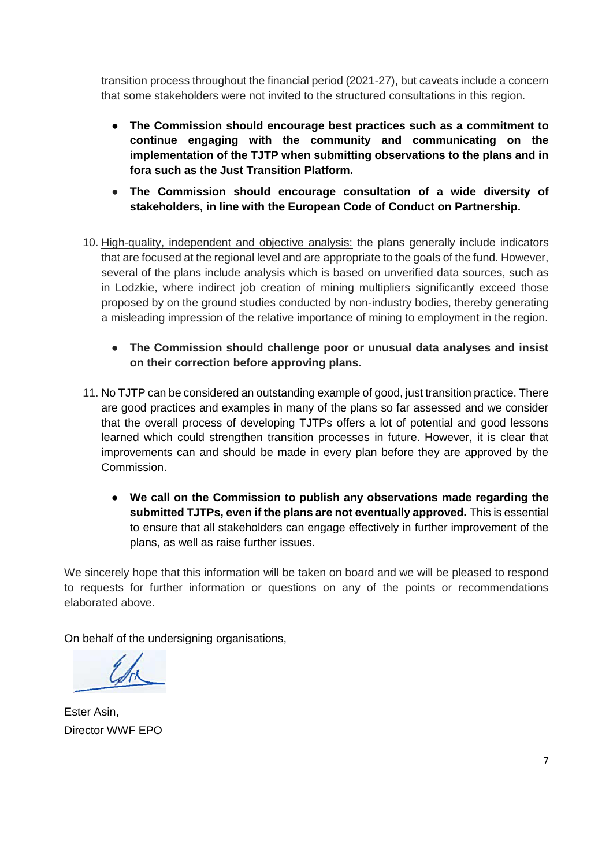transition process throughout the financial period (2021-27), but caveats include a concern that some stakeholders were not invited to the structured consultations in this region.

- **The Commission should encourage best practices such as a commitment to continue engaging with the community and communicating on the implementation of the TJTP when submitting observations to the plans and in fora such as the Just Transition Platform.**
- **The Commission should encourage consultation of a wide diversity of stakeholders, in line with the European Code of Conduct on Partnership.**
- 10. High-quality, independent and objective analysis: the plans generally include indicators that are focused at the regional level and are appropriate to the goals of the fund. However, several of the plans include analysis which is based on unverified data sources, such as in Lodzkie, where indirect job creation of mining multipliers significantly exceed those proposed by on the ground studies conducted by non-industry bodies, thereby generating a misleading impression of the relative importance of mining to employment in the region.
	- **The Commission should challenge poor or unusual data analyses and insist on their correction before approving plans.**
- 11. No TJTP can be considered an outstanding example of good, just transition practice. There are good practices and examples in many of the plans so far assessed and we consider that the overall process of developing TJTPs offers a lot of potential and good lessons learned which could strengthen transition processes in future. However, it is clear that improvements can and should be made in every plan before they are approved by the Commission.
	- **We call on the Commission to publish any observations made regarding the submitted TJTPs, even if the plans are not eventually approved.** This is essential to ensure that all stakeholders can engage effectively in further improvement of the plans, as well as raise further issues.

We sincerely hope that this information will be taken on board and we will be pleased to respond to requests for further information or questions on any of the points or recommendations elaborated above.

On behalf of the undersigning organisations.

Ester Asin, Director WWF EPO